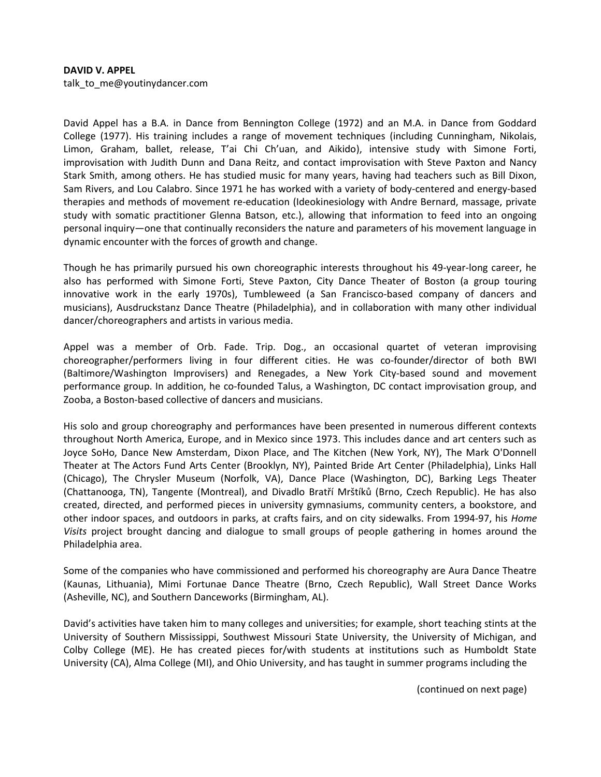## DAVID V. APPEL talk\_to\_me@youtinydancer.com

David Appel has a B.A. in Dance from Bennington College (1972) and an M.A. in Dance from Goddard College (1977). His training includes a range of movement techniques (including Cunningham, Nikolais, Limon, Graham, ballet, release, T'ai Chi Ch'uan, and Aikido), intensive study with Simone Forti, improvisation with Judith Dunn and Dana Reitz, and contact improvisation with Steve Paxton and Nancy Stark Smith, among others. He has studied music for many years, having had teachers such as Bill Dixon, Sam Rivers, and Lou Calabro. Since 1971 he has worked with a variety of body-centered and energy-based therapies and methods of movement re-education (Ideokinesiology with Andre Bernard, massage, private study with somatic practitioner Glenna Batson, etc.), allowing that information to feed into an ongoing personal inquiry—one that continually reconsiders the nature and parameters of his movement language in dynamic encounter with the forces of growth and change.

Though he has primarily pursued his own choreographic interests throughout his 49-year-long career, he also has performed with Simone Forti, Steve Paxton, City Dance Theater of Boston (a group touring innovative work in the early 1970s), Tumbleweed (a San Francisco-based company of dancers and musicians), Ausdruckstanz Dance Theatre (Philadelphia), and in collaboration with many other individual dancer/choreographers and artists in various media.

Appel was a member of Orb. Fade. Trip. Dog., an occasional quartet of veteran improvising choreographer/performers living in four different cities. He was co-founder/director of both BWI (Baltimore/Washington Improvisers) and Renegades, a New York City-based sound and movement performance group. In addition, he co-founded Talus, a Washington, DC contact improvisation group, and Zooba, a Boston-based collective of dancers and musicians.

His solo and group choreography and performances have been presented in numerous different contexts throughout North America, Europe, and in Mexico since 1973. This includes dance and art centers such as Joyce SoHo, Dance New Amsterdam, Dixon Place, and The Kitchen (New York, NY), The Mark O'Donnell Theater at The Actors Fund Arts Center (Brooklyn, NY), Painted Bride Art Center (Philadelphia), Links Hall (Chicago), The Chrysler Museum (Norfolk, VA), Dance Place (Washington, DC), Barking Legs Theater (Chattanooga, TN), Tangente (Montreal), and Divadlo Bratří Mrštíků (Brno, Czech Republic). He has also created, directed, and performed pieces in university gymnasiums, community centers, a bookstore, and other indoor spaces, and outdoors in parks, at crafts fairs, and on city sidewalks. From 1994-97, his Home Visits project brought dancing and dialogue to small groups of people gathering in homes around the Philadelphia area.

Some of the companies who have commissioned and performed his choreography are Aura Dance Theatre (Kaunas, Lithuania), Mimi Fortunae Dance Theatre (Brno, Czech Republic), Wall Street Dance Works (Asheville, NC), and Southern Danceworks (Birmingham, AL).

David's activities have taken him to many colleges and universities; for example, short teaching stints at the University of Southern Mississippi, Southwest Missouri State University, the University of Michigan, and Colby College (ME). He has created pieces for/with students at institutions such as Humboldt State University (CA), Alma College (MI), and Ohio University, and has taught in summer programs including the